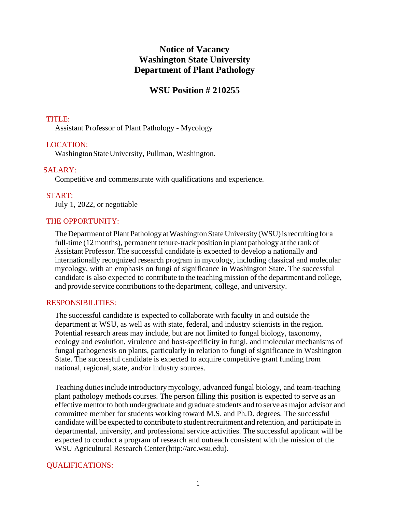# **Notice of Vacancy Washington State University Department of Plant Pathology**

# **WSU Position # 210255**

### TITLE:

Assistant Professor of Plant Pathology - Mycology

### LOCATION:

Washington State University, Pullman, Washington.

### SALARY:

Competitive and commensurate with qualifications and experience.

#### START:

July 1, 2022, or negotiable

#### THE OPPORTUNITY:

The Department of Plant Pathology at Washington State University (WSU) is recruiting for a full-time (12 months), permanent tenure-track position in plant pathology at the rank of Assistant Professor. The successful candidate is expected to develop a nationally and internationally recognized research program in mycology, including classical and molecular mycology, with an emphasis on fungi of significance in Washington State. The successful candidate is also expected to contribute to the teaching mission of the department and college, and provide service contributions to the department, college, and university.

#### RESPONSIBILITIES:

The successful candidate is expected to collaborate with faculty in and outside the department at WSU, as well as with state, federal, and industry scientists in the region. Potential research areas may include, but are not limited to fungal biology, taxonomy, ecology and evolution, virulence and host-specificity in fungi, and molecular mechanisms of fungal pathogenesis on plants, particularly in relation to fungi of significance in Washington State. The successful candidate is expected to acquire competitive grant funding from national, regional, state, and/or industry sources.

Teaching duties include introductory mycology, advanced fungal biology, and team-teaching plant pathology methods courses. The person filling this position is expected to serve as an effective mentor to both undergraduate and graduate students and to serve as major advisor and committee member for students working toward M.S. and Ph.D. degrees. The successful candidate will be expected to contribute to student recruitment and retention, and participate in departmental, university, and professional service activities. The successful applicant will be expected to conduct a program of research and outreach consistent with the mission of the WSU Agricultural Research Center(http://arc.wsu.edu).

### QUALIFICATIONS: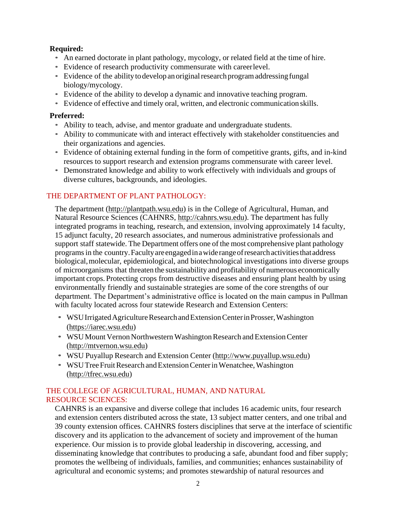## **Required:**

- An earned doctorate in plant pathology, mycology, or related field at the time of hire.
- Evidence of research productivity commensurate with careerlevel.
- Evidence of the ability to develop an original research program addressing fungal biology/mycology.
- Evidence of the ability to develop a dynamic and innovative teaching program.
- Evidence of effective and timely oral, written, and electronic communication skills.

## **Preferred:**

- Ability to teach, advise, and mentor graduate and undergraduate students.
- Ability to communicate with and interact effectively with stakeholder constituencies and their organizations and agencies.
- Evidence of obtaining external funding in the form of competitive grants, gifts, and in-kind resources to support research and extension programs commensurate with career level.
- Demonstrated knowledge and ability to work effectively with individuals and groups of diverse cultures, backgrounds, and ideologies.

## THE DEPARTMENT OF PLANT PATHOLOGY:

The department (http://plantpath.wsu.edu) is in the College of Agricultural, Human, and Natural Resource Sciences (CAHNRS, http://cahnrs.wsu.edu). The department has fully integrated programs in teaching, research, and extension, involving approximately 14 faculty, 15 adjunct faculty, 20 research associates, and numerous administrative professionals and support staff statewide. The Department offers one of the most comprehensive plant pathology programsin the country.Facultyareengagedinawiderangeofresearchactivitiesthataddress biological,molecular, epidemiological, and biotechnological investigations into diverse groups of microorganisms that threaten the sustainability and profitability of numerous economically important crops. Protecting crops from destructive diseases and ensuring plant health by using environmentally friendly and sustainable strategies are some of the core strengths of our department. The Department's administrative office is located on the main campus in Pullman with faculty located across four statewide Research and Extension Centers:

- WSU Irrigated Agriculture Research and Extension Center in Prosser, Washington (https://iarec.wsu.edu)
- WSU Mount Vernon Northwestern Washington Research and Extension Center (http://mtvernon.wsu.edu)
- WSU Puyallup Research and Extension Center (http://www.puyallup.wsu.edu)
- WSU Tree Fruit Research and Extension Center in Wenatchee, Washington (http://tfrec.wsu.edu)

## THE COLLEGE OF AGRICULTURAL, HUMAN, AND NATURAL RESOURCE SCIENCES:

CAHNRS is an expansive and diverse college that includes 16 academic units, four research and extension centers distributed across the state, 13 subject matter centers, and one tribal and 39 county extension offices. CAHNRS fosters disciplines that serve at the interface of scientific discovery and its application to the advancement of society and improvement of the human experience. Our mission is to provide global leadership in discovering, accessing, and disseminating knowledge that contributes to producing a safe, abundant food and fiber supply; promotes the wellbeing of individuals, families, and communities; enhances sustainability of agricultural and economic systems; and promotes stewardship of natural resources and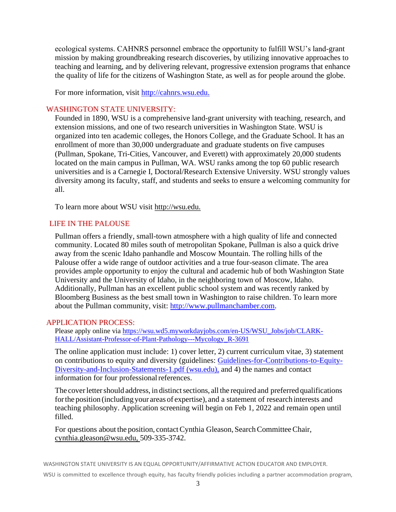ecological systems. CAHNRS personnel embrace the opportunity to fulfill WSU's land-grant mission by making groundbreaking research discoveries, by utilizing innovative approaches to teaching and learning, and by delivering relevant, progressive extension programs that enhance the quality of life for the citizens of Washington State, as well as for people around the globe.

For more information, visit [http://cahnrs.wsu.edu.](http://cahnrs.wsu.edu/)

#### WASHINGTON STATE UNIVERSITY:

Founded in 1890, WSU is a comprehensive land-grant university with teaching, research, and extension missions, and one of two research universities in Washington State. WSU is organized into ten academic colleges, the Honors College, and the Graduate School. It has an enrollment of more than 30,000 undergraduate and graduate students on five campuses (Pullman, Spokane, Tri-Cities, Vancouver, and Everett) with approximately 20,000 students located on the main campus in Pullman, WA. WSU ranks among the top 60 public research universities and is a Carnegie I, Doctoral/Research Extensive University. WSU strongly values diversity among its faculty, staff, and students and seeks to ensure a welcoming community for all.

To learn more about WSU visit [http://wsu.edu.](http://wsu.edu/)

#### LIFE IN THE PALOUSE

Pullman offers a friendly, small-town atmosphere with a high quality of life and connected community. Located 80 miles south of metropolitan Spokane, Pullman is also a quick drive away from the scenic Idaho panhandle and Moscow Mountain. The rolling hills of the Palouse offer a wide range of outdoor activities and a true four-season climate. The area provides ample opportunity to enjoy the cultural and academic hub of both Washington State University and the University of Idaho, in the neighboring town of Moscow, Idaho. Additionally, Pullman has an excellent public school system and was recently ranked by Bloomberg Business as the best small town in Washington to raise children. To learn more about the Pullman community, visit: [http://www.pullmanchamber.com.](http://www.pullmanchamber.com/)

#### APPLICATION PROCESS:

Please apply online via [https://wsu.wd5.myworkdayjobs.com/en-US/WSU\\_Jobs/job/CLARK-](https://wsu.wd5.myworkdayjobs.com/en-US/WSU_Jobs/job/CLARK-HALL/Assistant-Professor-of-Plant-Pathology---Mycology_R-3691)[HALL/Assistant-Professor-of-Plant-Pathology---Mycology\\_R-3691](https://wsu.wd5.myworkdayjobs.com/en-US/WSU_Jobs/job/CLARK-HALL/Assistant-Professor-of-Plant-Pathology---Mycology_R-3691)

The online application must include: 1) cover letter, 2) current curriculum vitae, 3) statement on contributions to equity and diversity (guidelines: [Guidelines-for-Contributions-to-Equity-](https://hrs.wsu.edu/wp-content/uploads/2020/02/Guidelines-for-Contributions-to-Equity-Diversity-and-Inclusion-Statements-1.pdf)[Diversity-and-Inclusion-Statements-1.pdf \(wsu.edu\),](https://hrs.wsu.edu/wp-content/uploads/2020/02/Guidelines-for-Contributions-to-Equity-Diversity-and-Inclusion-Statements-1.pdf) and 4) the names and contact information for four professional references.

The cover letter should address, in distinct sections, all the required and preferred qualifications forthe position (including your areas of expertise), and a statement of research interests and teaching philosophy. Application screening will begin on Feb 1, 2022 and remain open until filled.

For questions about the position, contact Cynthia Gleason, Search Committee Chair, [cynthia.gleason@wsu.edu, 5](mailto:cynthia.gleason@wsu.edu)09-335-3742.

WASHINGTON STATE UNIVERSITY IS AN EQUAL OPPORTUNITY/AFFIRMATIVE ACTION EDUCATOR AND EMPLOYER.

WSU is committed to excellence through equity, has faculty friendly policies including a partner accommodation program,